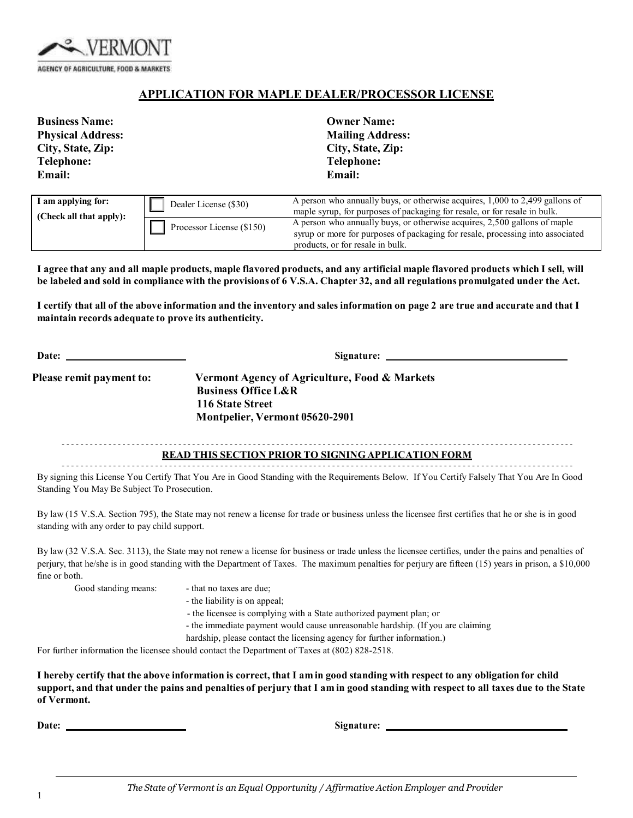

## **APPLICATION FOR MAPLE DEALER/PROCESSOR LICENSE**

| <b>Business Name:</b><br><b>Physical Address:</b><br>City, State, Zip:<br><b>Telephone:</b><br><b>Email:</b> |                           | <b>Owner Name:</b><br><b>Mailing Address:</b><br>City, State, Zip:<br><b>Telephone:</b><br>Email:                                                           |
|--------------------------------------------------------------------------------------------------------------|---------------------------|-------------------------------------------------------------------------------------------------------------------------------------------------------------|
| I am applying for:                                                                                           | Dealer License (\$30)     | A person who annually buys, or otherwise acquires, 1,000 to 2,499 gallons of<br>maple syrup, for purposes of packaging for resale, or for resale in bulk.   |
| (Check all that apply):                                                                                      | Processor License (\$150) | A person who annually buys, or otherwise acquires, 2,500 gallons of maple<br>syrup or more for purposes of packaging for resale, processing into associated |

products, or for resale in bulk.

I agree that any and all maple products, maple flavored products, and any artificial maple flavored products which I sell, will be labeled and sold in compliance with the provisions of 6 V.S.A. Chapter 32, and all regulations promulgated under the Act.

I certify that all of the above information and the inventory and sales information on page 2 are true and accurate and that I **maintain records adequate to prove its authenticity.**

| Date:                    |                                                                                                                                       |  |
|--------------------------|---------------------------------------------------------------------------------------------------------------------------------------|--|
| Please remit payment to: | Vermont Agency of Agriculture, Food & Markets<br><b>Business Office L&amp;R</b><br>116 State Street<br>Montpelier, Vermont 05620-2901 |  |
|                          | <b>READ THIS SECTION PRIOR TO SIGNING APPLICATION FORM</b>                                                                            |  |

By signing this License You Certify That You Are in Good Standing with the Requirements Below. If You Certify Falsely That You Are In Good Standing You May Be Subject To Prosecution.

By law (15 V.S.A. Section 795), the State may not renew a license for trade or business unless the licensee first certifies that he or she is in good standing with any order to pay child support.

By law (32 V.S.A. Sec. 3113), the State may not renew a license for business or trade unless the licensee certifies, under the pains and penalties of perjury, that he/she is in good standing with the Department of Taxes. The maximum penalties for perjury are fifteen (15) years in prison, a \$10,000 fine or both.

Good standing means: - that no taxes are due;

- 
- the liability is on appeal;

- the licensee is complying with a State authorized payment plan; or

- the immediate payment would cause unreasonable hardship. (If you are claiming

hardship, please contact the licensing agency for further information.)

For further information the licensee should contact the Department of Taxes at (802) 828-2518.

I hereby certify that the above information is correct, that I am in good standing with respect to any obligation for child support, and that under the pains and penalties of perjury that I am in good standing with respect to all taxes due to the State **of Vermont.**

**Date: Signature:**